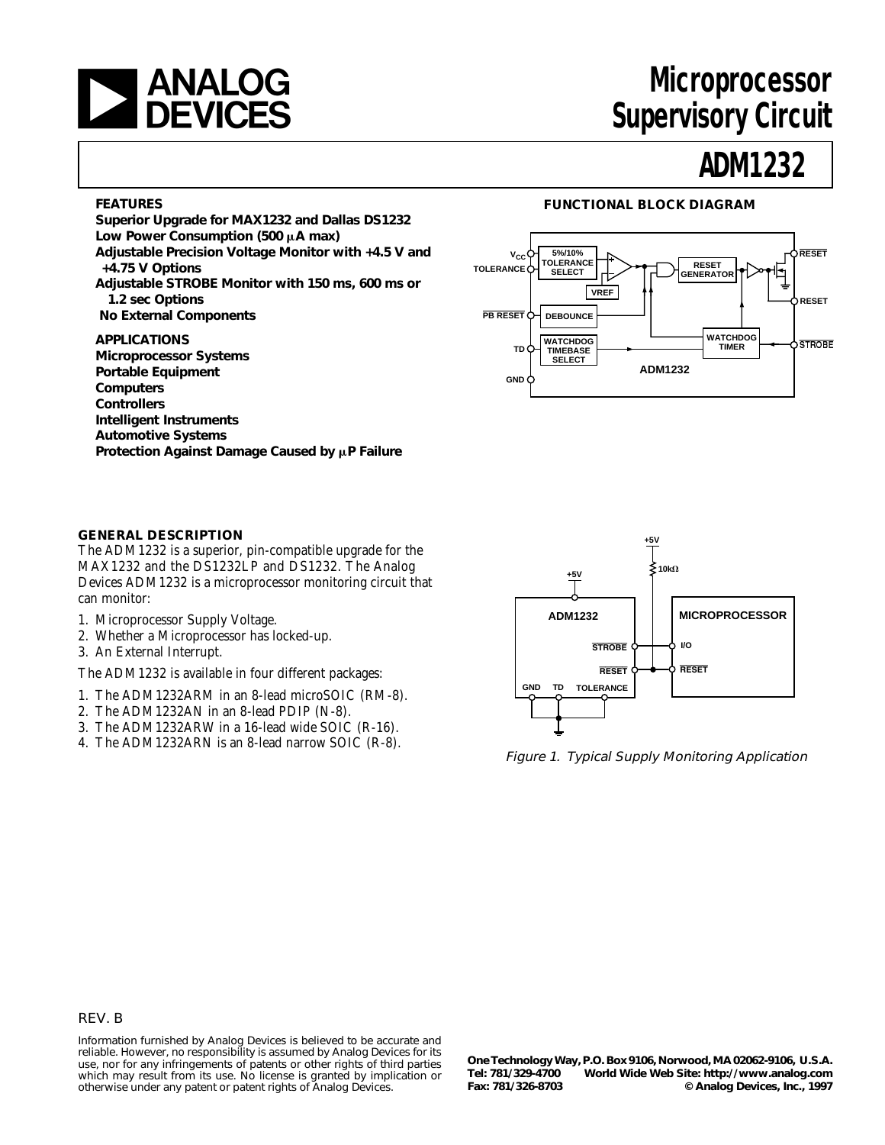

# **Microprocessor Supervisory Circuit**

# **ADM1232**

#### **FEATURES**

**Superior Upgrade for MAX1232 and Dallas DS1232** Low Power Consumption (500 µA max) **Adjustable Precision Voltage Monitor with +4.5 V and +4.75 V Options**

**Adjustable STROBE Monitor with 150 ms, 600 ms or 1.2 sec Options**

 **No External Components**

# **APPLICATIONS**

**Microprocessor Systems Portable Equipment Computers Controllers Intelligent Instruments Automotive Systems** Protection Against Damage Caused by  $\mu$ P Failure

### **FUNCTIONAL BLOCK DIAGRAM**



#### **GENERAL DESCRIPTION**

The ADM1232 is a superior, pin-compatible upgrade for the MAX1232 and the DS1232LP and DS1232. The Analog Devices ADM1232 is a microprocessor monitoring circuit that can monitor:

- 1. Microprocessor Supply Voltage.
- 2. Whether a Microprocessor has locked-up.
- 3. An External Interrupt.

The ADM1232 is available in four different packages:

- 1. The ADM1232ARM in an 8-lead microSOIC (RM-8).
- 2. The ADM1232AN in an 8-lead PDIP (N-8).
- 3. The ADM1232ARW in a 16-lead wide SOIC (R-16).
- 4. The ADM1232ARN is an 8-lead narrow SOIC (R-8).



Figure 1. Typical Supply Monitoring Application

#### REV. B

Information furnished by Analog Devices is believed to be accurate and reliable. However, no responsibility is assumed by Analog Devices for its use, nor for any infringements of patents or other rights of third parties which may result from its use. No license is granted by implication or otherwise under any patent or patent rights of Analog Devices.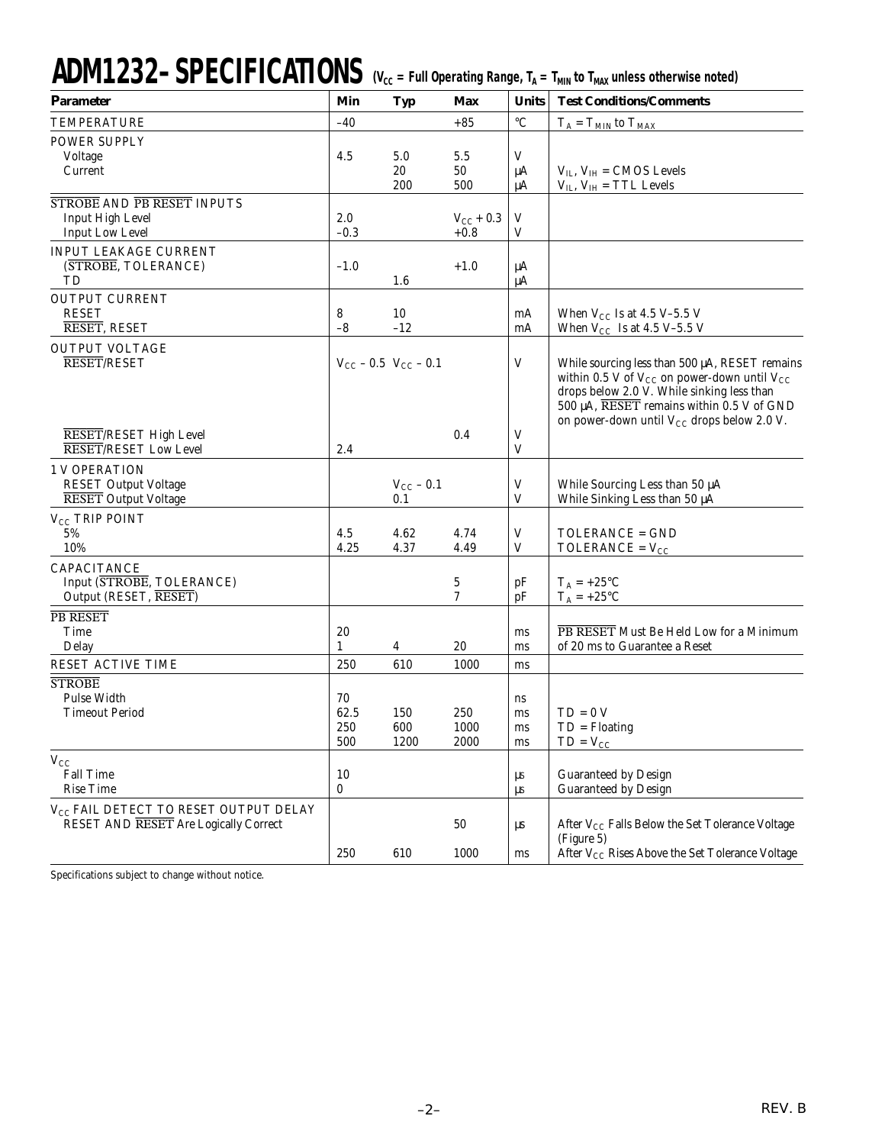# ADM1232-SPECIFICATIONS (V<sub>CC</sub> = Full Operating Range, T<sub>A</sub> = T<sub>MIN</sub> to T<sub>MAX</sub> unless otherwise noted)

| <b>Parameter</b>                                             | Min                           | <b>Typ</b>     | Max                          | <b>Units</b>    | <b>Test Conditions/Comments</b>                                                                         |
|--------------------------------------------------------------|-------------------------------|----------------|------------------------------|-----------------|---------------------------------------------------------------------------------------------------------|
| <b>TEMPERATURE</b>                                           | $-40$                         |                | $+85$                        | $\rm ^{\circ}C$ | $T_A = T_{MIN}$ to $T_{MAX}$                                                                            |
| <b>POWER SUPPLY</b>                                          |                               |                |                              |                 |                                                                                                         |
| Voltage                                                      | 4.5                           | 5.0            | 5.5                          | V               |                                                                                                         |
| Current                                                      |                               | 20             | 50                           | $\mu A$         | $V_{IL}$ , $V_{IH} = CMOS$ Levels                                                                       |
|                                                              |                               | 200            | 500                          | μA              | $V_{IL}$ , $V_{IH}$ = TTL Levels                                                                        |
| <b>STROBE AND PB RESET INPUTS</b><br><b>Input High Level</b> | 2.0                           |                |                              | V               |                                                                                                         |
| <b>Input Low Level</b>                                       | $-0.3$                        |                | $V_{\rm CC}$ + 0.3<br>$+0.8$ | V               |                                                                                                         |
| INPUT LEAKAGE CURRENT                                        |                               |                |                              |                 |                                                                                                         |
| (STROBE, TOLERANCE)                                          | $-1.0$                        |                | $+1.0$                       | μA              |                                                                                                         |
| TD                                                           |                               | $1.6\,$        |                              | μA              |                                                                                                         |
| <b>OUTPUT CURRENT</b>                                        |                               |                |                              |                 |                                                                                                         |
| <b>RESET</b>                                                 | 8                             | 10             |                              | mA              | When $V_{CC}$ Is at 4.5 V-5.5 V                                                                         |
| RESET, RESET                                                 | $-8$                          | $-12$          |                              | mA              | When $V_{CC}$ Is at 4.5 V-5.5 V                                                                         |
| <b>OUTPUT VOLTAGE</b><br><b>RESET/RESET</b>                  |                               |                |                              | $\mathbf V$     |                                                                                                         |
|                                                              | $V_{CC}$ – 0.5 $V_{CC}$ – 0.1 |                |                              |                 | While sourcing less than 500 µA, RESET remains<br>within 0.5 V of $V_{CC}$ on power-down until $V_{CC}$ |
|                                                              |                               |                |                              |                 | drops below 2.0 V. While sinking less than                                                              |
|                                                              |                               |                |                              |                 | 500 μA, RESET remains within 0.5 V of GND                                                               |
|                                                              |                               |                |                              |                 | on power-down until $V_{CC}$ drops below 2.0 V.                                                         |
| RESET/RESET High Level<br><b>RESET/RESET Low Level</b>       | 2.4                           |                | 0.4                          | V<br>V          |                                                                                                         |
| <b>1 V OPERATION</b>                                         |                               |                |                              |                 |                                                                                                         |
| <b>RESET Output Voltage</b>                                  |                               | $V_{CC}$ – 0.1 |                              | V               | While Sourcing Less than 50 µA                                                                          |
| <b>RESET</b> Output Voltage                                  |                               | 0.1            |                              | V               | While Sinking Less than 50 µA                                                                           |
| V <sub>CC</sub> TRIP POINT                                   |                               |                |                              |                 |                                                                                                         |
| 5%                                                           | 4.5                           | 4.62           | 4.74                         | V               | TOLERANCE = GND                                                                                         |
| 10%                                                          | 4.25                          | 4.37           | 4.49                         | V               | TOLERANCE = $V_{CC}$                                                                                    |
| CAPACITANCE                                                  |                               |                |                              |                 |                                                                                                         |
| Input (STROBE, TOLERANCE)<br>Output (RESET, RESET)           |                               |                | 5<br>7                       | pF<br>pF        | $T_A = +25$ °C<br>$T_A = +25$ °C                                                                        |
| <b>PB RESET</b>                                              |                               |                |                              |                 |                                                                                                         |
| Time                                                         | 20                            |                |                              | ms              | PB RESET Must Be Held Low for a Minimum                                                                 |
| Delay                                                        | $\mathbf{1}$                  | 4              | 20                           | ms              | of 20 ms to Guarantee a Reset                                                                           |
| RESET ACTIVE TIME                                            | 250                           | 610            | 1000                         | ms              |                                                                                                         |
| <b>STROBE</b>                                                |                               |                |                              |                 |                                                                                                         |
| <b>Pulse Width</b>                                           | 70                            |                |                              | ns              |                                                                                                         |
| Timeout Period                                               | 62.5<br>250                   | 150<br>600     | 250<br>1000                  | ms<br>ms        | $TD = 0 V$<br>$TD = Floating$                                                                           |
|                                                              | 500                           | 1200           | 2000                         | ms              | $TD = V_{CC}$                                                                                           |
| $V_{CC}$                                                     |                               |                |                              |                 |                                                                                                         |
| <b>Fall Time</b>                                             | 10                            |                |                              | μs              | <b>Guaranteed by Design</b>                                                                             |
| <b>Rise Time</b>                                             | $\bf{0}$                      |                |                              | μs              | <b>Guaranteed by Design</b>                                                                             |
| V <sub>CC</sub> FAIL DETECT TO RESET OUTPUT DELAY            |                               |                |                              |                 |                                                                                                         |
| RESET AND RESET Are Logically Correct                        |                               |                | 50                           | μs              | After V <sub>CC</sub> Falls Below the Set Tolerance Voltage                                             |
|                                                              | 250                           | 610            | 1000                         | ms              | (Figure 5)<br>After V <sub>CC</sub> Rises Above the Set Tolerance Voltage                               |
|                                                              |                               |                |                              |                 |                                                                                                         |

Specifications subject to change without notice.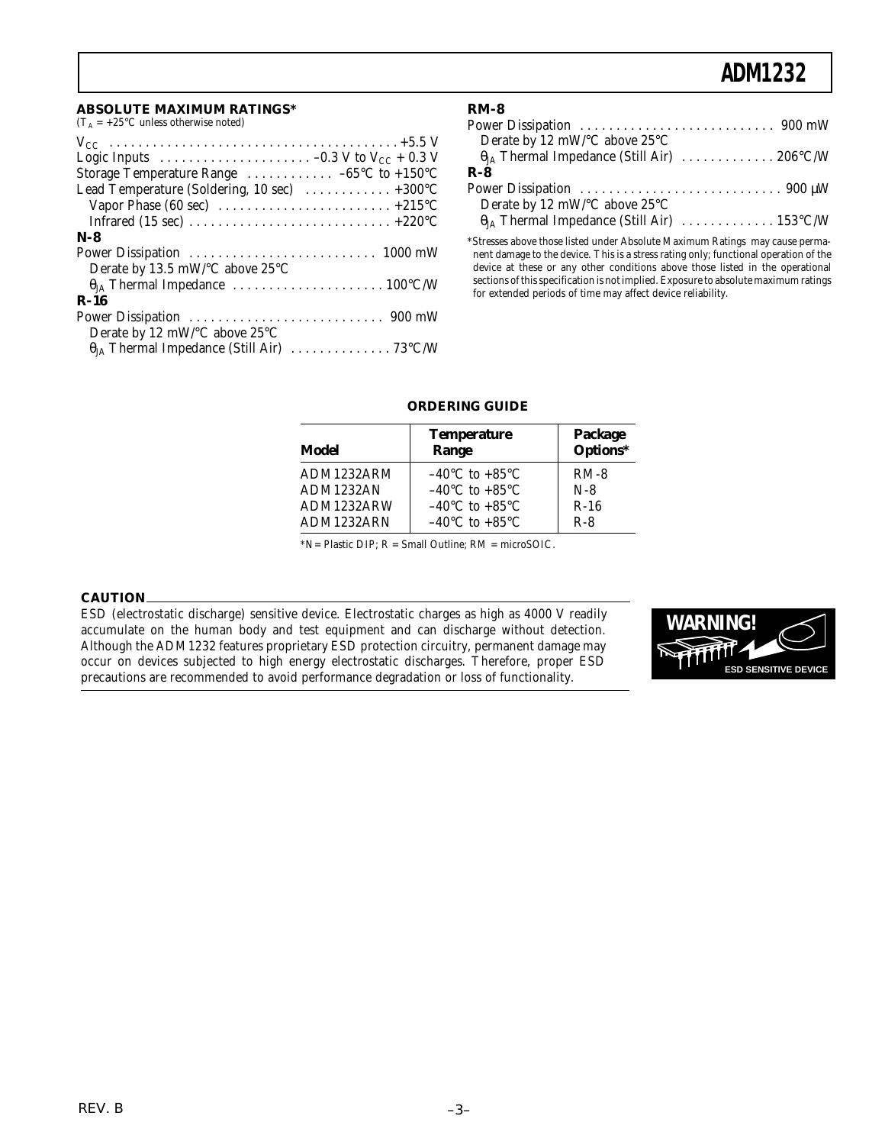# **ADM1232**

#### **ABSOLUTE MAXIMUM RATINGS\***

(T<sub>A</sub> = +25 $^{\circ}$ C unless otherwise noted)

| Logic Inputs $\ldots \ldots \ldots \ldots \ldots \ldots -0.3$ V to V <sub>CC</sub> + 0.3 V |
|--------------------------------------------------------------------------------------------|
| Storage Temperature Range $\dots \dots \dots -65^{\circ}C$ to +150°C                       |
| Lead Temperature (Soldering, 10 sec)  +300°C                                               |
| Vapor Phase (60 sec) $\dots \dots \dots \dots \dots \dots \dots \dots +215$ °C             |
|                                                                                            |
| $N-8$                                                                                      |
|                                                                                            |
| Derate by 13.5 mW/ $\rm ^{\circ}C$ above 25 $\rm ^{\circ}C$                                |
|                                                                                            |
| $R-16$                                                                                     |
|                                                                                            |
| Derate by 12 mW/°C above 25°C                                                              |
|                                                                                            |

| $RM-8$                                                                                           |
|--------------------------------------------------------------------------------------------------|
|                                                                                                  |
| Derate by 12 mW/°C above 25°C                                                                    |
| $\theta_{JA}$ Thermal Impedance (Still Air)  206°C/W                                             |
| $R - 8$                                                                                          |
| Power Dissipation $\ldots \ldots \ldots \ldots \ldots \ldots \ldots \ldots \ldots \ldots$ 900 µW |
| Derate by 12 mW/°C above 25°C                                                                    |
|                                                                                                  |

\*Stresses above those listed under Absolute Maximum Ratings may cause permanent damage to the device. This is a stress rating only; functional operation of the device at these or any other conditions above those listed in the operational sections of this specification is not implied. Exposure to absolute maximum ratings for extended periods of time may affect device reliability.

# **ORDERING GUIDE**

| Model      | <b>Temperature</b><br>Range        | Package<br>Options* |
|------------|------------------------------------|---------------------|
| ADM1232ARM | $-40^{\circ}$ C to $+85^{\circ}$ C | $RM-8$              |
| ADM1232AN  | $-40^{\circ}$ C to $+85^{\circ}$ C | $N-8$               |
| ADM1232ARW | $-40^{\circ}$ C to $+85^{\circ}$ C | $R-16$              |
| ADM1232ARN | $-40^{\circ}$ C to $+85^{\circ}$ C | $R-8$               |

\*N= Plastic DIP; R = Small Outline; RM = microSOIC.

#### **CAUTION**

ESD (electrostatic discharge) sensitive device. Electrostatic charges as high as 4000 V readily accumulate on the human body and test equipment and can discharge without detection. Although the ADM1232 features proprietary ESD protection circuitry, permanent damage may occur on devices subjected to high energy electrostatic discharges. Therefore, proper ESD precautions are recommended to avoid performance degradation or loss of functionality.

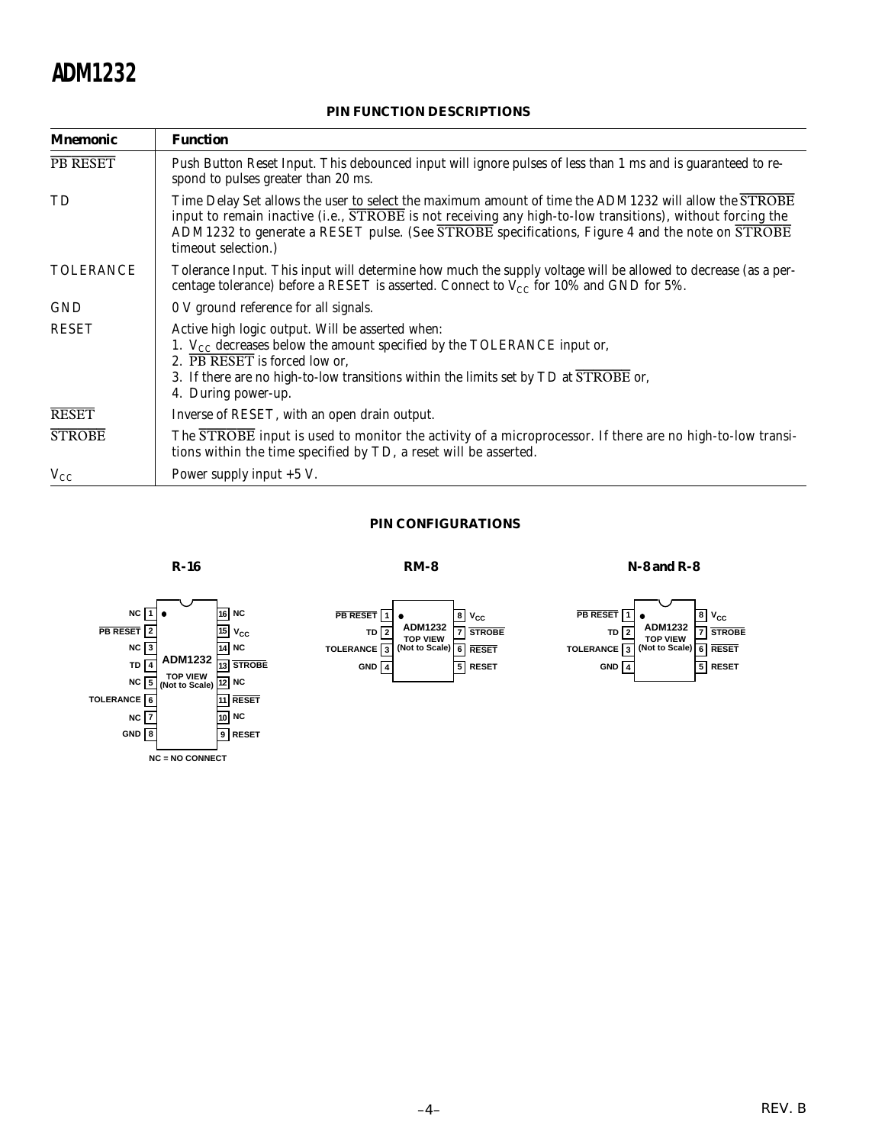# **ADM1232**

| <b>Mnemonic</b>  | <b>Function</b>                                                                                                                                                                                                                                                                                                                                          |
|------------------|----------------------------------------------------------------------------------------------------------------------------------------------------------------------------------------------------------------------------------------------------------------------------------------------------------------------------------------------------------|
| PB RESET         | Push Button Reset Input. This debounced input will ignore pulses of less than 1 ms and is guaranteed to re-<br>spond to pulses greater than 20 ms.                                                                                                                                                                                                       |
| TD               | Time Delay Set allows the user to select the maximum amount of time the ADM1232 will allow the STROBE<br>input to remain inactive (i.e., $\overline{STROBE}$ is not receiving any high-to-low transitions), without forcing the<br>ADM1232 to generate a RESET pulse. (See STROBE specifications, Figure 4 and the note on STROBE<br>timeout selection.) |
| <b>TOLERANCE</b> | Tolerance Input. This input will determine how much the supply voltage will be allowed to decrease (as a per-<br>centage tolerance) before a RESET is asserted. Connect to $V_{CC}$ for 10% and GND for 5%.                                                                                                                                              |
| <b>GND</b>       | 0 V ground reference for all signals.                                                                                                                                                                                                                                                                                                                    |
| <b>RESET</b>     | Active high logic output. Will be asserted when:<br>1. $V_{CC}$ decreases below the amount specified by the TOLERANCE input or,<br>2. PB RESET is forced low or,<br>3. If there are no high-to-low transitions within the limits set by TD at STROBE or,<br>4. During power-up.                                                                          |
| <b>RESET</b>     | Inverse of RESET, with an open drain output.                                                                                                                                                                                                                                                                                                             |
| <b>STROBE</b>    | The STROBE input is used to monitor the activity of a microprocessor. If there are no high-to-low transi-<br>tions within the time specified by TD, a reset will be asserted.                                                                                                                                                                            |
| $V_{CC}$         | Power supply input $+5$ V.                                                                                                                                                                                                                                                                                                                               |

## **PIN FUNCTION DESCRIPTIONS**

#### **PIN CONFIGURATIONS**



**R-16 RM-8 N-8 and R-8**

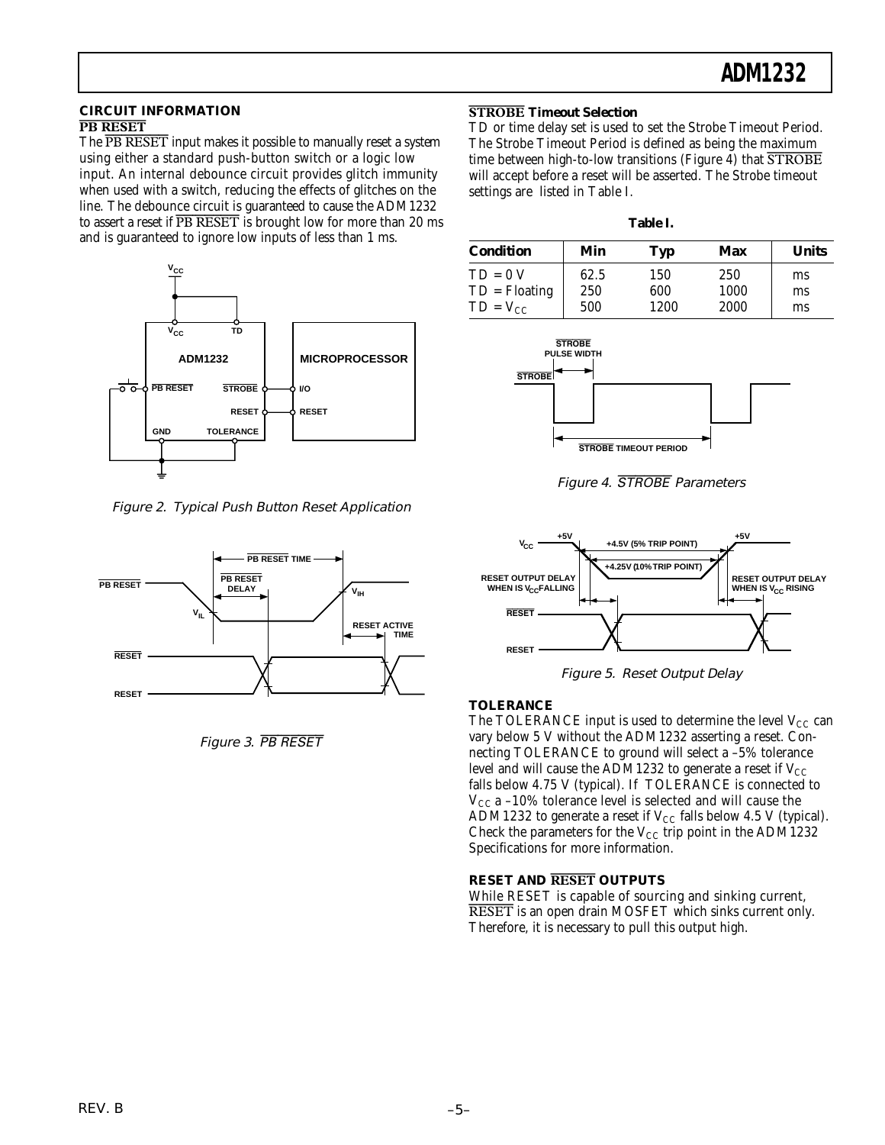#### **CIRCUIT INFORMATION PB RESET**

The *PB RESET* input makes it possible to manually reset a system using either a standard push-button switch or a logic low input. An internal debounce circuit provides glitch immunity when used with a switch, reducing the effects of glitches on the line. The debounce circuit is guaranteed to cause the ADM1232 to assert a reset if *PB RESET* is brought low for more than 20 ms and is guaranteed to ignore low inputs of less than 1 ms.



Figure 2. Typical Push Button Reset Application



Figure 3. PB RESET

### **STROBE Timeout Selection**

TD or time delay set is used to set the Strobe Timeout Period. The Strobe Timeout Period is defined as being the maximum time between high-to-low transitions (Figure 4) that *STROBE* will accept before a reset will be asserted. The Strobe timeout settings are listed in Table I.

| <b>Condition</b> | Min  | Typ  | Max  | <b>Units</b> |
|------------------|------|------|------|--------------|
| $TD = 0 V$       | 62.5 | 150  | 250  | ms           |
| $TD = Floating$  | 250  | 600  | 1000 | ms           |
| $TD = V_{CC}$    | 500  | 1200 | 2000 | ms           |



Figure 4. STROBE Parameters



Figure 5. Reset Output Delay

# **TOLERANCE**

The TOLERANCE input is used to determine the level  $V_{CC}$  can vary below 5 V without the ADM1232 asserting a reset. Connecting TOLERANCE to ground will select a –5% tolerance level and will cause the ADM1232 to generate a reset if  $V_{CC}$ falls below 4.75 V (typical). If TOLERANCE is connected to  $V_{CC}$  a –10% tolerance level is selected and will cause the ADM1232 to generate a reset if  $V_{CC}$  falls below 4.5 V (typical). Check the parameters for the  $V_{CC}$  trip point in the ADM1232 Specifications for more information.

### **RESET AND RESET OUTPUTS**

While RESET is capable of sourcing and sinking current, *RESET* is an open drain MOSFET which sinks current only. Therefore, it is necessary to pull this output high.